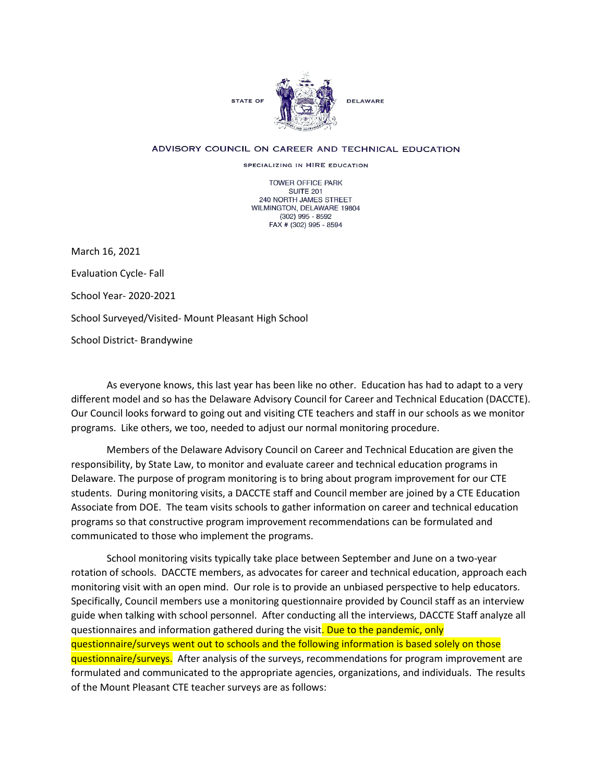

## ADVISORY COUNCIL ON CAREER AND TECHNICAL EDUCATION

SPECIALIZING IN HIRE EDUCATION

**TOWER OFFICE PARK SUITE 201** 240 NORTH JAMES STREET WILMINGTON, DELAWARE 19804  $(302)$  995 - 8592 FAX # (302) 995 - 8594

March 16, 2021

Evaluation Cycle- Fall

School Year- 2020-2021

School Surveyed/Visited- Mount Pleasant High School

School District- Brandywine

As everyone knows, this last year has been like no other. Education has had to adapt to a very different model and so has the Delaware Advisory Council for Career and Technical Education (DACCTE). Our Council looks forward to going out and visiting CTE teachers and staff in our schools as we monitor programs. Like others, we too, needed to adjust our normal monitoring procedure.

Members of the Delaware Advisory Council on Career and Technical Education are given the responsibility, by State Law, to monitor and evaluate career and technical education programs in Delaware. The purpose of program monitoring is to bring about program improvement for our CTE students. During monitoring visits, a DACCTE staff and Council member are joined by a CTE Education Associate from DOE. The team visits schools to gather information on career and technical education programs so that constructive program improvement recommendations can be formulated and communicated to those who implement the programs.

School monitoring visits typically take place between September and June on a two-year rotation of schools. DACCTE members, as advocates for career and technical education, approach each monitoring visit with an open mind. Our role is to provide an unbiased perspective to help educators. Specifically, Council members use a monitoring questionnaire provided by Council staff as an interview guide when talking with school personnel. After conducting all the interviews, DACCTE Staff analyze all questionnaires and information gathered during the visit. Due to the pandemic, only questionnaire/surveys went out to schools and the following information is based solely on those questionnaire/surveys. After analysis of the surveys, recommendations for program improvement are formulated and communicated to the appropriate agencies, organizations, and individuals. The results of the Mount Pleasant CTE teacher surveys are as follows: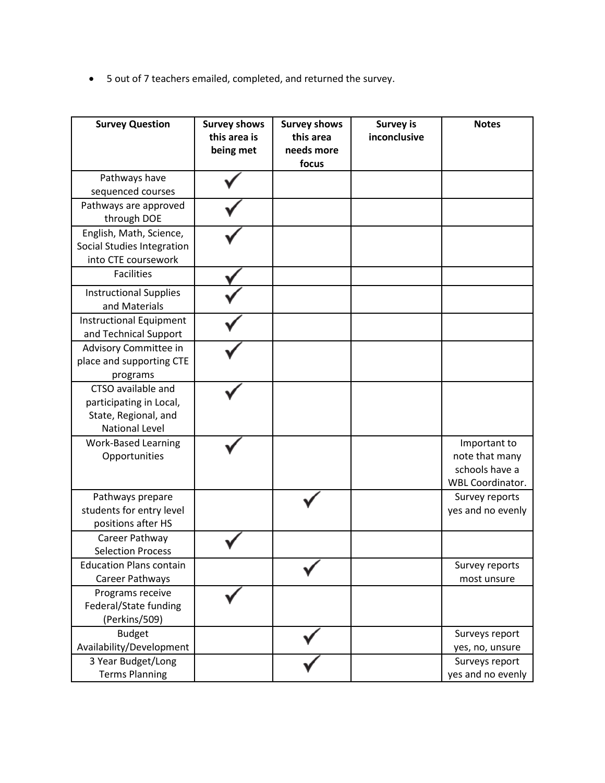• 5 out of 7 teachers emailed, completed, and returned the survey.

| <b>Survey Question</b>                                                                         | <b>Survey shows</b><br>this area is<br>being met | <b>Survey shows</b><br>this area<br>needs more<br>focus | <b>Survey is</b><br>inconclusive | <b>Notes</b>                                                                |
|------------------------------------------------------------------------------------------------|--------------------------------------------------|---------------------------------------------------------|----------------------------------|-----------------------------------------------------------------------------|
| Pathways have<br>sequenced courses                                                             |                                                  |                                                         |                                  |                                                                             |
| Pathways are approved<br>through DOE                                                           |                                                  |                                                         |                                  |                                                                             |
| English, Math, Science,<br>Social Studies Integration<br>into CTE coursework                   |                                                  |                                                         |                                  |                                                                             |
| <b>Facilities</b>                                                                              |                                                  |                                                         |                                  |                                                                             |
| <b>Instructional Supplies</b><br>and Materials                                                 |                                                  |                                                         |                                  |                                                                             |
| <b>Instructional Equipment</b><br>and Technical Support                                        |                                                  |                                                         |                                  |                                                                             |
| Advisory Committee in<br>place and supporting CTE<br>programs                                  |                                                  |                                                         |                                  |                                                                             |
| CTSO available and<br>participating in Local,<br>State, Regional, and<br><b>National Level</b> |                                                  |                                                         |                                  |                                                                             |
| <b>Work-Based Learning</b><br>Opportunities                                                    |                                                  |                                                         |                                  | Important to<br>note that many<br>schools have a<br><b>WBL Coordinator.</b> |
| Pathways prepare<br>students for entry level<br>positions after HS                             |                                                  |                                                         |                                  | Survey reports<br>yes and no evenly                                         |
| Career Pathway<br><b>Selection Process</b>                                                     |                                                  |                                                         |                                  |                                                                             |
| <b>Education Plans contain</b><br>Career Pathways                                              |                                                  |                                                         |                                  | Survey reports<br>most unsure                                               |
| Programs receive<br>Federal/State funding<br>(Perkins/509)                                     |                                                  |                                                         |                                  |                                                                             |
| <b>Budget</b><br>Availability/Development                                                      |                                                  |                                                         |                                  | Surveys report<br>yes, no, unsure                                           |
| 3 Year Budget/Long<br><b>Terms Planning</b>                                                    |                                                  |                                                         |                                  | Surveys report<br>yes and no evenly                                         |